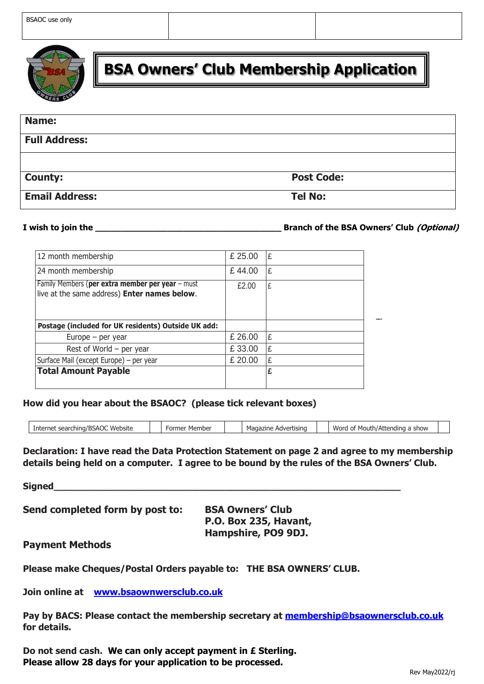

# **BSA Owners' Club Membership Application**

| <b>Name:</b>          |                   |
|-----------------------|-------------------|
| <b>Full Address:</b>  |                   |
|                       |                   |
| <b>County:</b>        | <b>Post Code:</b> |
| <b>Email Address:</b> | <b>Tel No:</b>    |

**I** wish to join the **the contract of the BSA Owners' Club** *(Optional)* 

| 12 month membership                                                                              | £ 25.00 | Ι£ |
|--------------------------------------------------------------------------------------------------|---------|----|
| 24 month membership                                                                              | £44.00  | Ι£ |
| Family Members (per extra member per year – must<br>live at the same address) Enter names below. | £2.00   | ١£ |
| Postage (included for UK residents) Outside UK add:                                              |         |    |
| Europe $-$ per year                                                                              | £ 26.00 | £  |
| Rest of World $-$ per year                                                                       | £33.00  | £  |
| Surface Mail (except Europe) - per year                                                          | £ 20.00 | ۱£ |
| <b>Total Amount Payable</b>                                                                      |         | £  |

#### **How did you hear about the BSAOC? (please tick relevant boxes)**

| Internet searching/BSAOC Website | Member<br>-ormer | Advertising<br>Magazine | Word of<br>* Mouth/Attending a<br>show |
|----------------------------------|------------------|-------------------------|----------------------------------------|

o my membership **Box 2 de xullação de Social de Social de Social de la propie de la partie de la partie de la partie de la partie de la partie de la partie de la partie de la partie de la partie de la partie de la partie de la partie de l Declaration: I have read the Data Protection Statement on page 2 and agree to my membership** details being held on a computer. I agree to be bound by the rules of the BSA Owners' Club.

**Signed\_\_\_\_\_\_\_\_\_\_\_\_\_\_\_\_\_\_\_\_\_\_\_\_\_\_\_\_\_\_\_\_\_\_\_\_\_\_\_\_\_\_\_\_\_\_\_\_\_\_\_\_\_\_\_\_\_\_\_\_\_**

**Send completed form by post to: BSA Owners' Club**

**P.O. Box 235, Havant, Hampshire, PO9 9DJ.**

# **Payment Methods**

**Please make Cheques/Postal Orders payable to: THE BSA OWNERS' CLUB.** 

**Join online at [www.bsaownwersclub.co.uk](http://www.bsaownwersclub.co.uk/)**

**Pay by BACS: Please contact the membership secretary at [membership@bsaownersclub.co.uk](mailto:membership@bsaownersclub.co.uk) for details.**

**Do not send cash. We can only accept payment in £ Sterling. Please allow 28 days for your application to be processed.**

members living outside the control of the control of the control of the control of the control of the control of the control of the control of the control of the control of the control of the control of the control of the